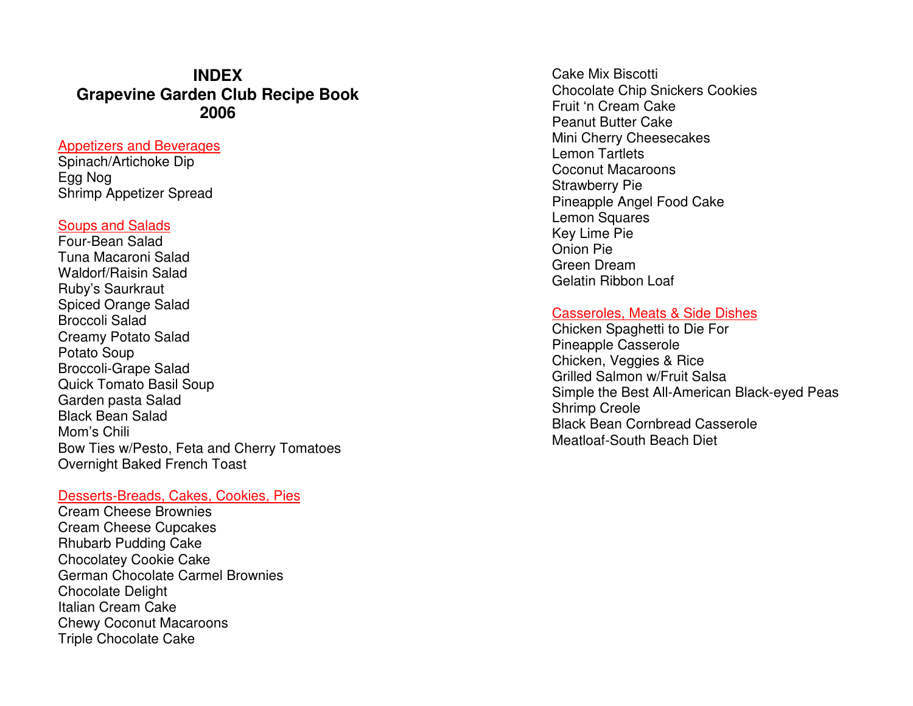# **INDEX Grapevine Garden Club Recipe Book 2006**

## Appetizers and Beverages

Spinach/Artichoke Dip Egg Nog Shrimp Appetizer Spread

#### Soups and Salads

 Four-Bean Salad Tuna Macaroni Salad Waldorf/Raisin Salad Ruby's Saurkraut Spiced Orange Salad Broccoli Salad Creamy Potato Salad Potato Soup Broccoli-Grape Salad Quick Tomato Basil Soup Garden pasta Salad Black Bean Salad Mom's Chili Bow Ties w/Pesto, Feta and Cherry Tomatoes Overnight Baked French Toast

### Desserts-Breads, Cakes, Cookies, Pies

Cream Cheese Brownies Cream Cheese Cupcakes Rhubarb Pudding Cake Chocolatey Cookie Cake German Chocolate Carmel Brownies Chocolate Delight Italian Cream Cake Chewy Coconut Macaroons Triple Chocolate Cake

Cake Mix Biscotti Chocolate Chip Snickers Cookies Fruit 'n Cream Cake Peanut Butter Cake Mini Cherry Cheesecakes Lemon Tartlets Coconut Macaroons Strawberry Pie Pineapple Angel Food Cake Lemon Squares Key Lime Pie Onion Pie Green Dream Gelatin Ribbon Loaf

#### Casseroles, Meats & Side Dishes

Chicken Spaghetti to Die For Pineapple Casserole Chicken, Veggies & Rice Grilled Salmon w/Fruit Salsa Simple the Best All-American Black-eyed Peas Shrimp Creole Black Bean Cornbread Casserole Meatloaf-South Beach Diet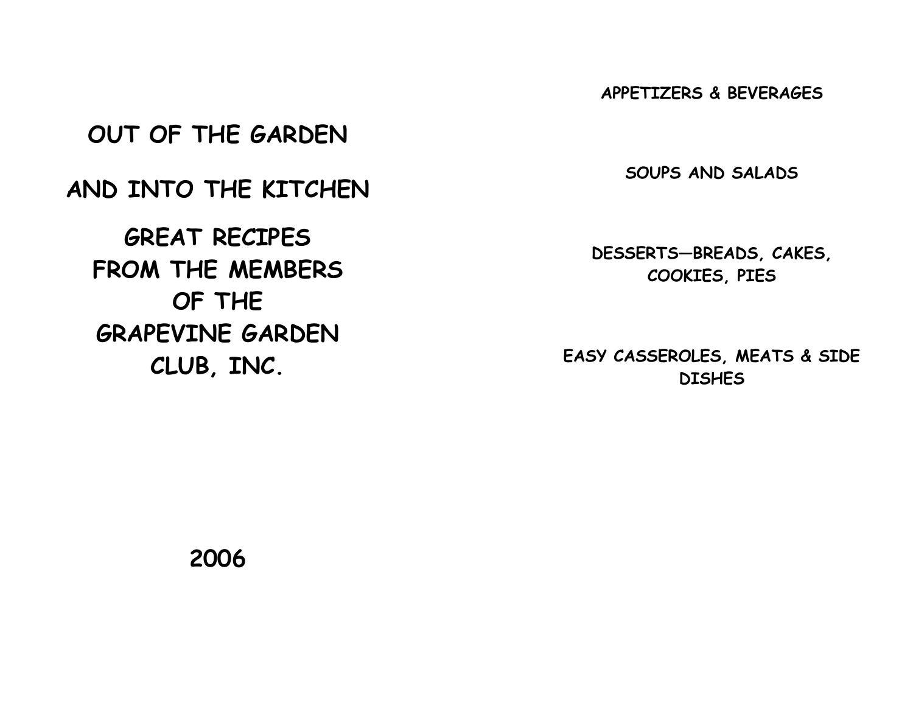APPETIZERS & BEVERAGES

OUT OF THE GARDEN

AND INTO THE KITCHEN

GREAT RECIPES FROM THE MEMBERS OF THE GRAPEVINE GARDEN CLUB, INC.

SOUPS AND SALADS

DESSERTS—BREADS, CAKES, COOKIES, PIES

EASY CASSEROLES, MEATS & SIDE **DISHES** 

2006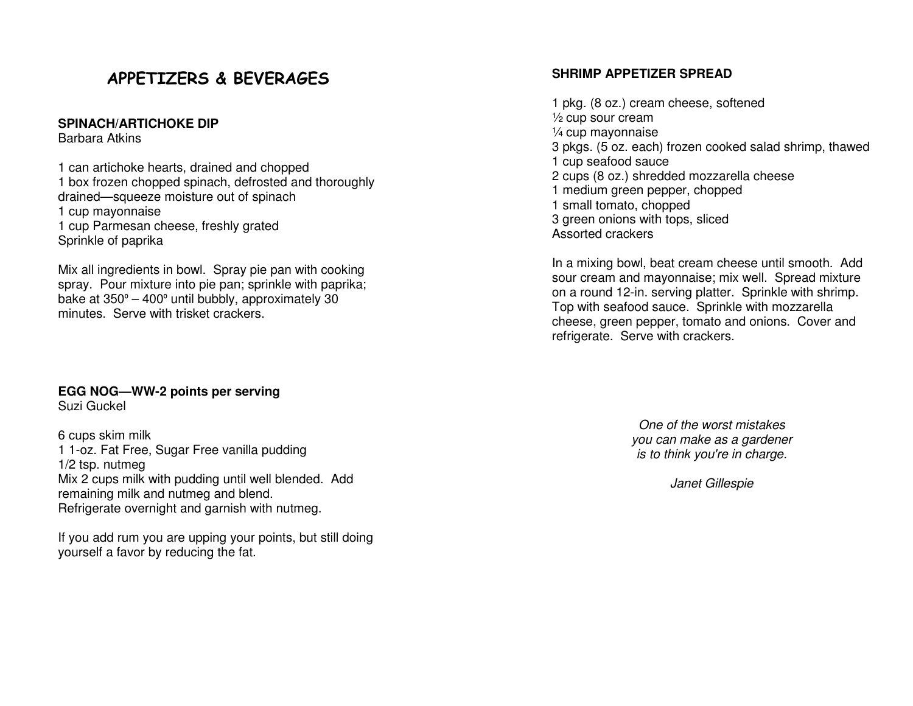# APPETIZERS & BEVERAGES

#### **SPINACH/ARTICHOKE DIP**

Barbara Atkins

1 can artichoke hearts, drained and chopped 1 box frozen chopped spinach, defrosted and thoroughly drained—squeeze moisture out of spinach 1 cup mayonnaise 1 cup Parmesan cheese, freshly grated Sprinkle of paprika

Mix all ingredients in bowl. Spray pie pan with cooking spray. Pour mixture into pie pan; sprinkle with paprika; bake at 350<sup>º</sup> – 400<sup>º</sup> until bubbly, approximately 30 minutes. Serve with trisket crackers.

# **EGG NOG—WW-2 points per serving**

Suzi Guckel

6 cups skim milk 1 1-oz. Fat Free, Sugar Free vanilla pudding 1/2 tsp. nutmeg Mix 2 cups milk with pudding until well blended. Add remaining milk and nutmeg and blend. Refrigerate overnight and garnish with nutmeg.

If you add rum you are upping your points, but still doing yourself a favor by reducing the fat.

# **SHRIMP APPETIZER SPREAD**

1 pkg. (8 oz.) cream cheese, softened ½ cup sour cream ¼ cup mayonnaise 3 pkgs. (5 oz. each) frozen cooked salad shrimp, thawed 1 cup seafood sauce 2 cups (8 oz.) shredded mozzarella cheese 1 medium green pepper, chopped 1 small tomato, chopped 3 green onions with tops, sliced Assorted crackers

In a mixing bowl, beat cream cheese until smooth. Add sour cream and mayonnaise; mix well. Spread mixture on a round 12-in. serving platter. Sprinkle with shrimp. Top with seafood sauce. Sprinkle with mozzarella cheese, green pepper, tomato and onions. Cover andrefrigerate. Serve with crackers.

> One of the worst mistakes you can make as a gardener is to think you're in charge.

> > Janet Gillespie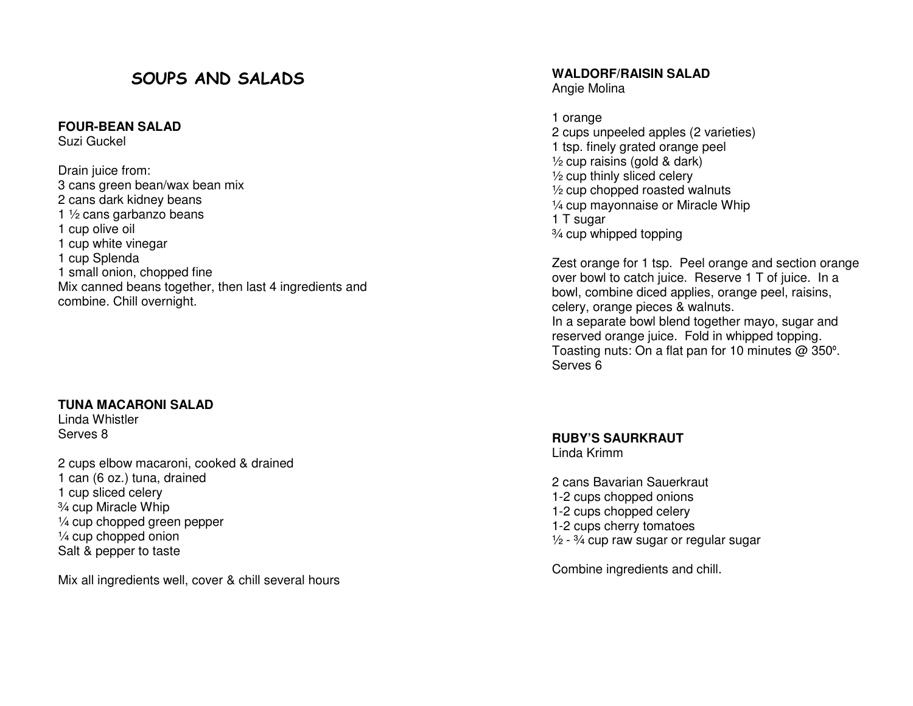# SOUPS AND SALADS

**FOUR-BEAN SALAD** 

Suzi Guckel

Drain juice from: 3 cans green bean/wax bean mix 2 cans dark kidney beans 1 ½ cans garbanzo beans 1 cup olive oil 1 cup white vinegar 1 cup Splenda 1 small onion, chopped fine Mix canned beans together, then last 4 ingredients and combine. Chill overnight.

#### **TUNA MACARONI SALAD**

Linda Whistler Serves 8

2 cups elbow macaroni, cooked & drained 1 can (6 oz.) tuna, drained 1 cup sliced celery ¾ cup Miracle Whip ¼ cup chopped green pepper ¼ cup chopped onion Salt & pepper to taste

Mix all ingredients well, cover & chill several hours

**WALDORF/RAISIN SALAD** 

Angie Molina

1 orange 2 cups unpeeled apples (2 varieties) 1 tsp. finely grated orange peel ½ cup raisins (gold & dark) ½ cup thinly sliced celery ½ cup chopped roasted walnuts ¼ cup mayonnaise or Miracle Whip 1 T sugar ¾ cup whipped topping

Zest orange for 1 tsp. Peel orange and section orange over bowl to catch juice. Reserve 1 T of juice. In a bowl, combine diced applies, orange peel, raisins, celery, orange pieces & walnuts. In a separate bowl blend together mayo, sugar and reserved orange juice. Fold in whipped topping. Toasting nuts: On a flat pan for 10 minutes @ 350<sup>º</sup>. Serves 6

**RUBY'S SAURKRAUT** 

Linda Krimm

2 cans Bavarian Sauerkraut 1-2 cups chopped onions 1-2 cups chopped celery 1-2 cups cherry tomatoes  $\frac{1}{2}$  -  $\frac{3}{4}$  cup raw sugar or regular sugar

Combine ingredients and chill.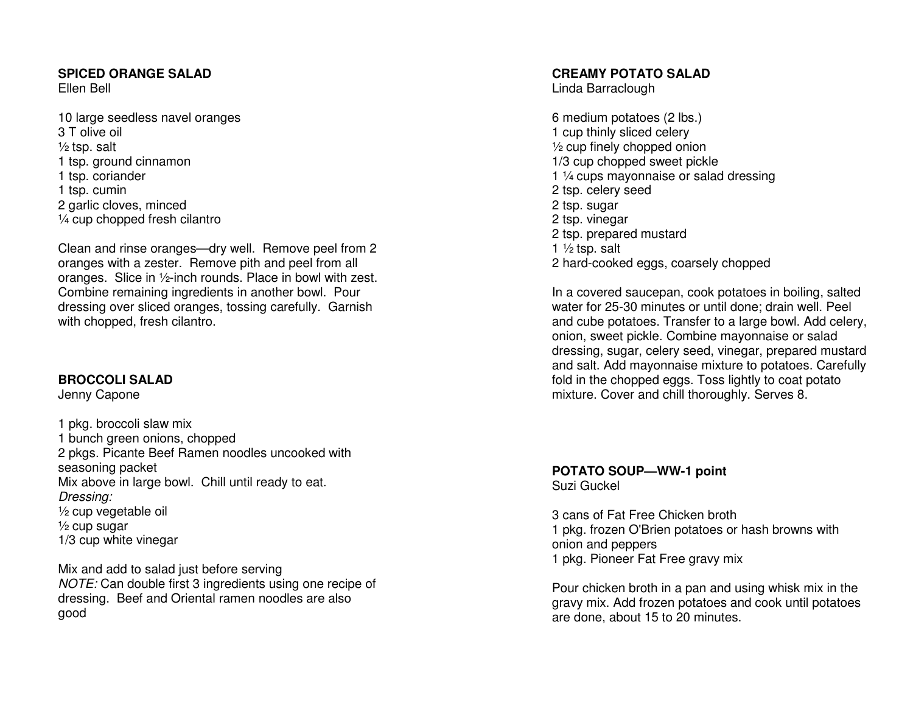# **SPICED ORANGE SALAD**

Ellen Bell

10 large seedless navel oranges 3 T olive oil  $\frac{1}{2}$  tsp. salt 1 tsp. ground cinnamon 1 tsp. coriander 1 tsp. cumin 2 garlic cloves, minced ¼ cup chopped fresh cilantro

Clean and rinse oranges—dry well. Remove peel from 2 oranges with a zester. Remove pith and peel from all oranges. Slice in ½-inch rounds. Place in bowl with zest. Combine remaining ingredients in another bowl. Pour dressing over sliced oranges, tossing carefully. Garnish with chopped, fresh cilantro.

# **BROCCOLI SALAD**

Jenny Capone

1 pkg. broccoli slaw mix 1 bunch green onions, chopped 2 pkgs. Picante Beef Ramen noodles uncooked with seasoning packet Mix above in large bowl. Chill until ready to eat.Dressing: ½ cup vegetable oil  $\frac{1}{2}$  cup sugar 1/3 cup white vinegar

Mix and add to salad just before serving NOTE: Can double first 3 ingredients using one recipe of dressing. Beef and Oriental ramen noodles are alsogood

# **CREAMY POTATO SALAD**

Linda Barraclough

6 medium potatoes (2 lbs.) 1 cup thinly sliced celery ½ cup finely chopped onion 1/3 cup chopped sweet pickle 1 1/4 cups mayonnaise or salad dressing 2 tsp. celery seed 2 tsp. sugar 2 tsp. vinegar 2 tsp. prepared mustard 1  $\frac{1}{2}$  tsp. salt 2 hard-cooked eggs, coarsely chopped

In a covered saucepan, cook potatoes in boiling, salted water for 25-30 minutes or until done; drain well. Peel and cube potatoes. Transfer to a large bowl. Add celery, onion, sweet pickle. Combine mayonnaise or salad dressing, sugar, celery seed, vinegar, prepared mustard and salt. Add mayonnaise mixture to potatoes. Carefully fold in the chopped eggs. Toss lightly to coat potato mixture. Cover and chill thoroughly. Serves 8.

**POTATO SOUP—WW-1 point** Suzi Guckel

3 cans of Fat Free Chicken broth 1 pkg. frozen O'Brien potatoes or hash browns with onion and peppers 1 pkg. Pioneer Fat Free gravy mix

Pour chicken broth in a pan and using whisk mix in the gravy mix. Add frozen potatoes and cook until potatoes are done, about 15 to 20 minutes.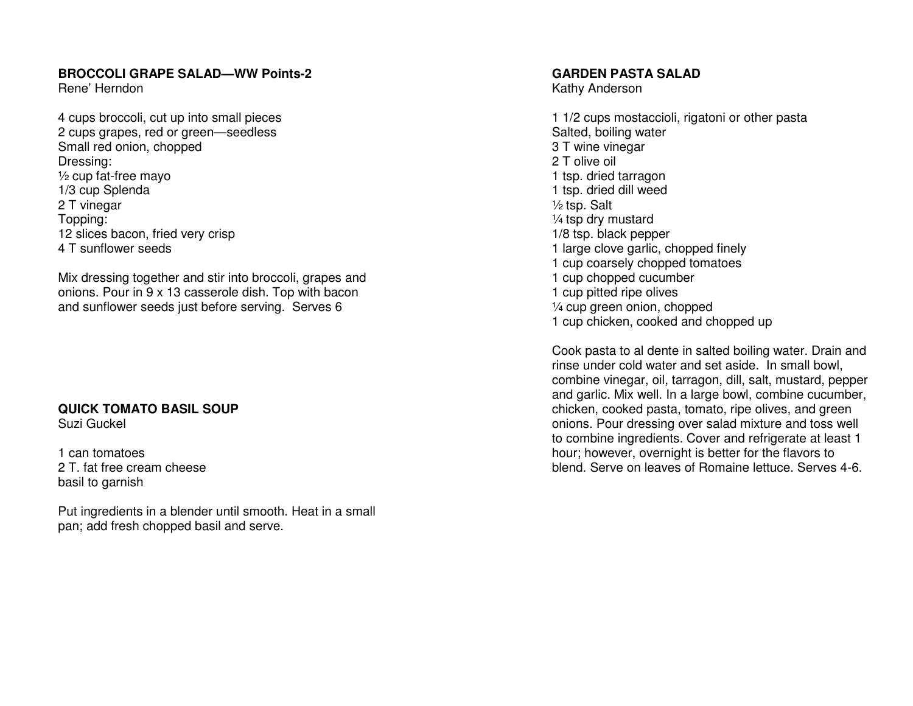# **BROCCOLI GRAPE SALAD—WW Points-2**

Rene' Herndon

4 cups broccoli, cut up into small pieces 2 cups grapes, red or green—seedless Small red onion, chopped Dressing: ½ cup fat-free mayo 1/3 cup Splenda 2 T vinegar Topping: 12 slices bacon, fried very crisp 4 T sunflower seeds

Mix dressing together and stir into broccoli, grapes and onions. Pour in 9 x 13 casserole dish. Top with bacon and sunflower seeds just before serving. Serves 6

#### **QUICK TOMATO BASIL SOUP**Suzi Guckel

1 can tomatoes 2 T. fat free cream cheese basil to garnish

Put ingredients in a blender until smooth. Heat in a small pan; add fresh chopped basil and serve.

## **GARDEN PASTA SALAD**

Kathy Anderson

1 1/2 cups mostaccioli, rigatoni or other pasta Salted, boiling water 3 T wine vinegar 2 T olive oil 1 tsp. dried tarragon 1 tsp. dried dill weed ½ tsp. Salt ¼ tsp dry mustard 1/8 tsp. black pepper 1 large clove garlic, chopped finely 1 cup coarsely chopped tomatoes 1 cup chopped cucumber 1 cup pitted ripe olives ¼ cup green onion, chopped 1 cup chicken, cooked and chopped up

Cook pasta to al dente in salted boiling water. Drain and rinse under cold water and set aside. In small bowl, combine vinegar, oil, tarragon, dill, salt, mustard, pepper and garlic. Mix well. In a large bowl, combine cucumber, chicken, cooked pasta, tomato, ripe olives, and green onions. Pour dressing over salad mixture and toss well to combine ingredients. Cover and refrigerate at least 1 hour; however, overnight is better for the flavors to blend. Serve on leaves of Romaine lettuce. Serves 4-6.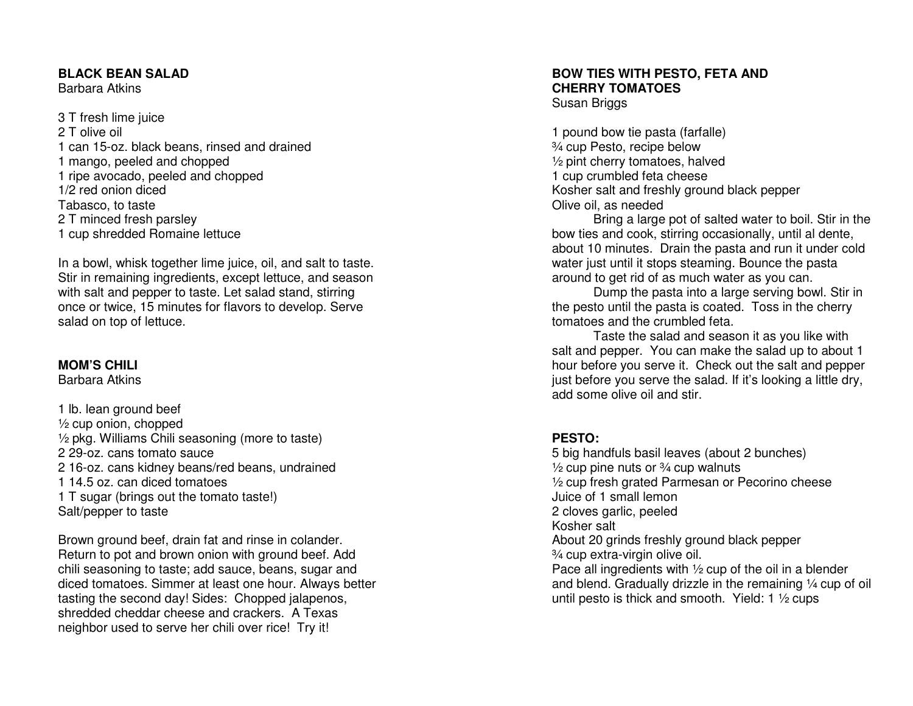### **BLACK BEAN SALAD**

Barbara Atkins

3 T fresh lime juice 2 T olive oil 1 can 15-oz. black beans, rinsed and drained 1 mango, peeled and chopped 1 ripe avocado, peeled and chopped 1/2 red onion diced Tabasco, to taste 2 T minced fresh parsley 1 cup shredded Romaine lettuce

In a bowl, whisk together lime juice, oil, and salt to taste. Stir in remaining ingredients, except lettuce, and season with salt and pepper to taste. Let salad stand, stirring once or twice, 15 minutes for flavors to develop. Serve salad on top of lettuce.

# **MOM'S CHILI**

Barbara Atkins

1 lb. lean ground beef ½ cup onion, chopped ½ pkg. Williams Chili seasoning (more to taste) 2 29-oz. cans tomato sauce 2 16-oz. cans kidney beans/red beans, undrained 1 14.5 oz. can diced tomatoes 1 T sugar (brings out the tomato taste!) Salt/pepper to taste

Brown ground beef, drain fat and rinse in colander. Return to pot and brown onion with ground beef. Add chili seasoning to taste; add sauce, beans, sugar and diced tomatoes. Simmer at least one hour. Always better tasting the second day! Sides: Chopped jalapenos, shredded cheddar cheese and crackers. A Texas neighbor used to serve her chili over rice! Try it!

# **BOW TIES WITH PESTO, FETA AND CHERRY TOMATOES** Susan Briggs

1 pound bow tie pasta (farfalle) ¾ cup Pesto, recipe below ½ pint cherry tomatoes, halved 1 cup crumbled feta cheese Kosher salt and freshly ground black pepper Olive oil, as needed

 Bring a large pot of salted water to boil. Stir in the bow ties and cook, stirring occasionally, until al dente, about 10 minutes. Drain the pasta and run it under cold water just until it stops steaming. Bounce the pasta around to get rid of as much water as you can.

 Dump the pasta into a large serving bowl. Stir in the pesto until the pasta is coated. Toss in the cherry tomatoes and the crumbled feta.

 Taste the salad and season it as you like with salt and pepper. You can make the salad up to about 1 hour before you serve it. Check out the salt and pepper just before you serve the salad. If it's looking a little dry, add some olive oil and stir.

# **PESTO:**

 5 big handfuls basil leaves (about 2 bunches)  $\frac{1}{2}$  cup pine nuts or  $\frac{3}{4}$  cup walnuts ½ cup fresh grated Parmesan or Pecorino cheese Juice of 1 small lemon 2 cloves garlic, peeled Kosher salt About 20 grinds freshly ground black pepper ¾ cup extra-virgin olive oil. Pace all ingredients with ½ cup of the oil in a blender and blend. Gradually drizzle in the remaining ¼ cup of oil until pesto is thick and smooth. Yield: 1 ½ cups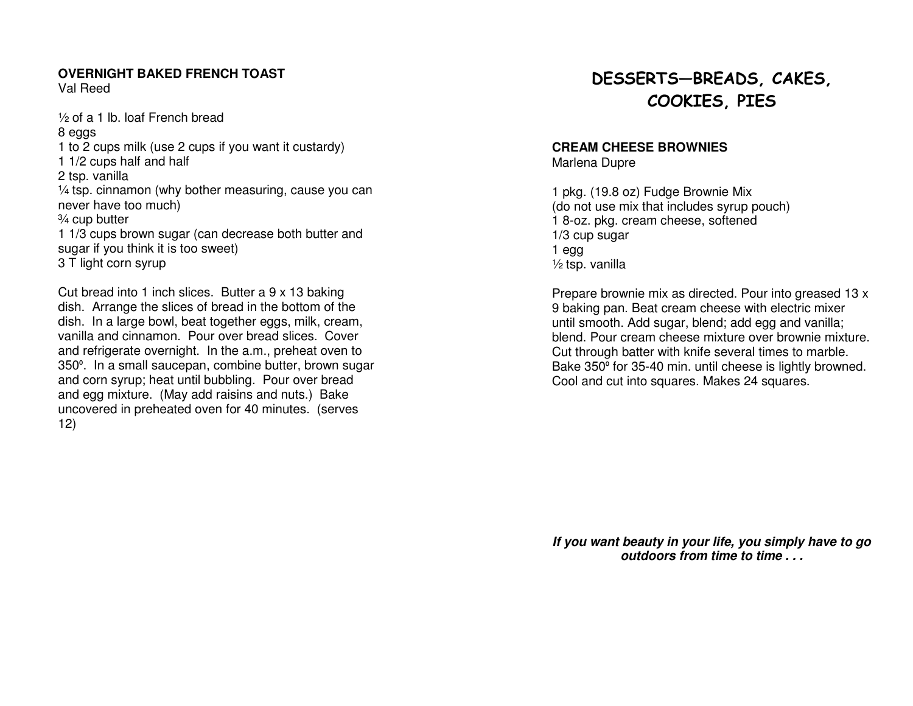# **OVERNIGHT BAKED FRENCH TOAST**

Val Reed

½ of a 1 lb. loaf French bread 8 eggs 1 to 2 cups milk (use 2 cups if you want it custardy) 1 1/2 cups half and half 2 tsp. vanilla ¼ tsp. cinnamon (why bother measuring, cause you can never have too much) ¾ cup butter 1 1/3 cups brown sugar (can decrease both butter and sugar if you think it is too sweet) 3 T light corn syrup

Cut bread into 1 inch slices. Butter a 9 x 13 baking dish. Arrange the slices of bread in the bottom of the dish. In a large bowl, beat together eggs, milk, cream, vanilla and cinnamon. Pour over bread slices. Cover and refrigerate overnight. In the a.m., preheat oven to 350º. In a small saucepan, combine butter, brown sugarand corn syrup; heat until bubbling. Pour over bread and egg mixture. (May add raisins and nuts.) Bake uncovered in preheated oven for 40 minutes. (serves 12)

# DESSERTS—BREADS, CAKES, COOKIES, PIES

# **CREAM CHEESE BROWNIES**

Marlena Dupre

1 pkg. (19.8 oz) Fudge Brownie Mix (do not use mix that includes syrup pouch) 1 8-oz. pkg. cream cheese, softened 1/3 cup sugar 1 egg ½ tsp. vanilla

Prepare brownie mix as directed. Pour into greased 13 x 9 baking pan. Beat cream cheese with electric mixer until smooth. Add sugar, blend; add egg and vanilla; blend. Pour cream cheese mixture over brownie mixture. Cut through batter with knife several times to marble. Bake 350º for 35-40 min. until cheese is lightly browned. Cool and cut into squares. Makes 24 squares.

**If you want beauty in your life, you simply have to go outdoors from time to time . . .**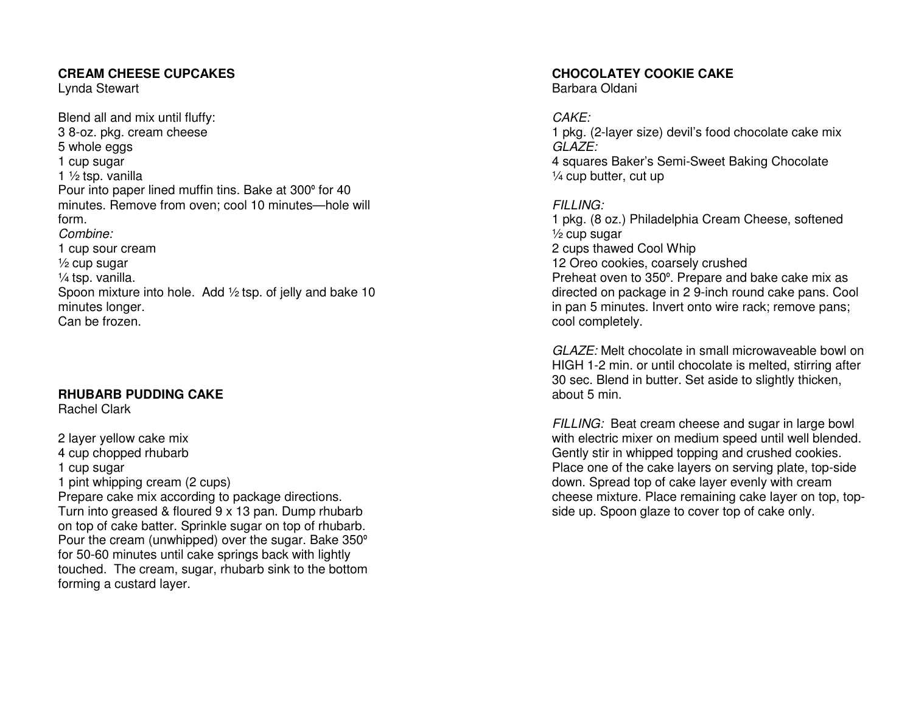## **CREAM CHEESE CUPCAKES**

Lynda Stewart

Blend all and mix until fluffy: 3 8-oz. pkg. cream cheese 5 whole eggs 1 cup sugar 1 ½ tsp. vanilla Pour into paper lined muffin tins. Bake at 300º for 40 minutes. Remove from oven; cool 10 minutes—hole will form. Combine: 1 cup sour cream  $\frac{1}{2}$  cup sugar ¼ tsp. vanilla. Spoon mixture into hole. Add 1/2 tsp. of jelly and bake 10 minutes longer. Can be frozen.

# **RHUBARB PUDDING CAKE**

Rachel Clark

2 layer yellow cake mix 4 cup chopped rhubarb 1 cup sugar 1 pint whipping cream (2 cups) Prepare cake mix according to package directions. Turn into greased & floured 9 x 13 pan. Dump rhubarb on top of cake batter. Sprinkle sugar on top of rhubarb. Pour the cream (unwhipped) over the sugar. Bake 350° for 50-60 minutes until cake springs back with lightly touched. The cream, sugar, rhubarb sink to the bottom forming a custard layer.

# **CHOCOLATEY COOKIE CAKE**

Barbara Oldani

# CAKE:

 1 pkg. (2-layer size) devil's food chocolate cake mix GLAZE: 4 squares Baker's Semi-Sweet Baking Chocolate ¼ cup butter, cut up

# FILLING:

 1 pkg. (8 oz.) Philadelphia Cream Cheese, softened ½ cup sugar 2 cups thawed Cool Whip 12 Oreo cookies, coarsely crushed Preheat oven to 350º. Prepare and bake cake mix as directed on package in 2 9-inch round cake pans. Cool in pan 5 minutes. Invert onto wire rack; remove pans; cool completely.

GLAZE: Melt chocolate in small microwaveable bowl on HIGH 1-2 min. or until chocolate is melted, stirring after 30 sec. Blend in butter. Set aside to slightly thicken, about 5 min.

FILLING: Beat cream cheese and sugar in large bowl with electric mixer on medium speed until well blended. Gently stir in whipped topping and crushed cookies. Place one of the cake layers on serving plate, top-side down. Spread top of cake layer evenly with cream cheese mixture. Place remaining cake layer on top, topside up. Spoon glaze to cover top of cake only.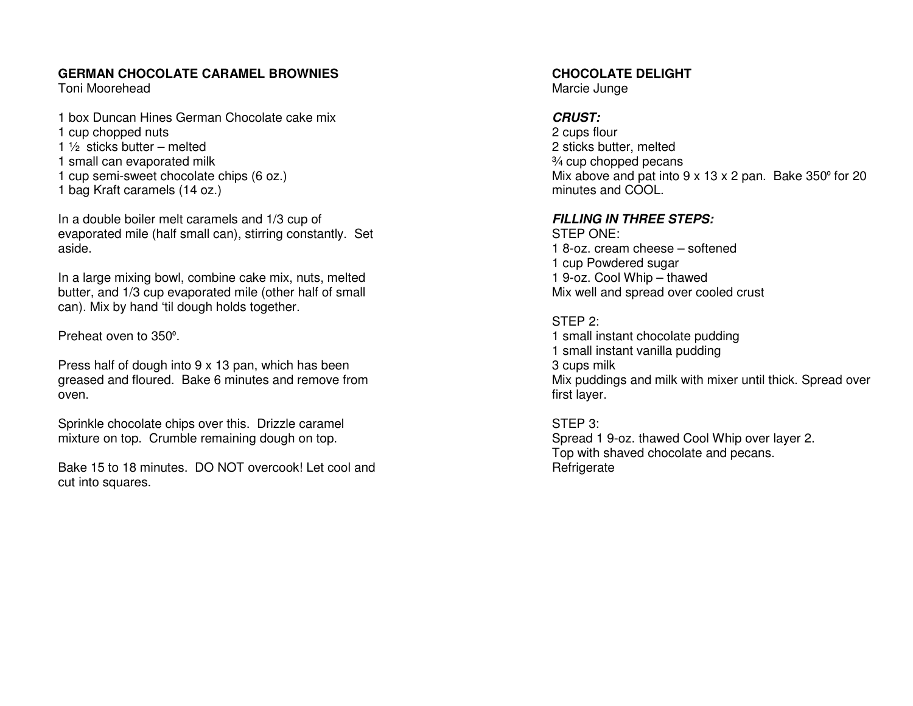# **GERMAN CHOCOLATE CARAMEL BROWNIES**

Toni Moorehead

1 box Duncan Hines German Chocolate cake mix 1 cup chopped nuts 1  $\frac{1}{2}$  sticks butter – melted 1 small can evaporated milk 1 cup semi-sweet chocolate chips (6 oz.) 1 bag Kraft caramels (14 oz.)

In a double boiler melt caramels and 1/3 cup of evaporated mile (half small can), stirring constantly. Set aside.

In a large mixing bowl, combine cake mix, nuts, melted butter, and 1/3 cup evaporated mile (other half of small can). Mix by hand 'til dough holds together.

Preheat oven to 350<sup>º</sup>.

Press half of dough into 9 x 13 pan, which has been greased and floured. Bake 6 minutes and remove from oven.

Sprinkle chocolate chips over this. Drizzle caramel mixture on top. Crumble remaining dough on top.

Bake 15 to 18 minutes. DO NOT overcook! Let cool and cut into squares.

**CHOCOLATE DELIGHT** 

Marcie Junge

# **CRUST:**

 2 cups flour 2 sticks butter, melted ¾ cup chopped pecans Mix above and pat into 9 x 13 x 2 pan. Bake 350º for 20 minutes and COOL.

# **FILLING IN THREE STEPS:**

STEP ONE: 1 8-oz. cream cheese – softened 1 cup Powdered sugar 1 9-oz. Cool Whip – thawed Mix well and spread over cooled crust

STEP 2: 1 small instant chocolate pudding 1 small instant vanilla pudding 3 cups milk Mix puddings and milk with mixer until thick. Spread over first layer.

STEP 3: Spread 1 9-oz. thawed Cool Whip over layer 2. Top with shaved chocolate and pecans. **Refrigerate**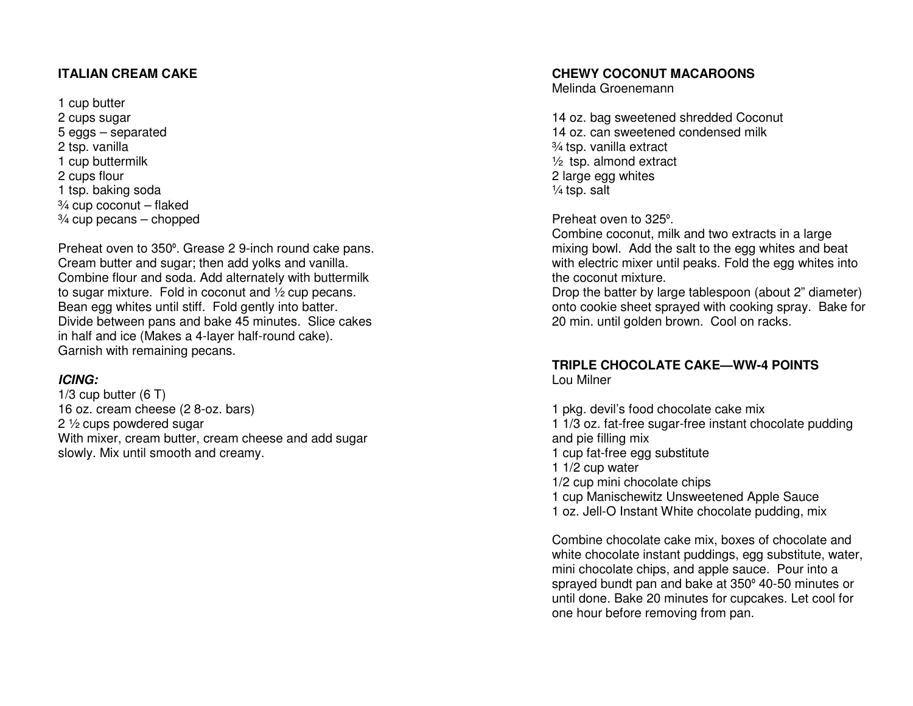# **ITALIAN CREAM CAKE**

1 cup butter 2 cups sugar 5 eggs – separated 2 tsp. vanilla 1 cup buttermilk 2 cups flour 1 tsp. baking soda ¾ cup coconut – flaked ¾ cup pecans – chopped

Preheat oven to 350º. Grease 2 9-inch round cake pans. Cream butter and sugar; then add yolks and vanilla. Combine flour and soda. Add alternately with buttermilk to sugar mixture. Fold in coconut and ½ cup pecans. Bean egg whites until stiff. Fold gently into batter. Divide between pans and bake 45 minutes. Slice cakes in half and ice (Makes a 4-layer half-round cake). Garnish with remaining pecans.

# **ICING:**

 1/3 cup butter (6 T) 16 oz. cream cheese (2 8-oz. bars) 2 ½ cups powdered sugar With mixer, cream butter, cream cheese and add sugar slowly. Mix until smooth and creamy.

## **CHEWY COCONUT MACAROONS**

Melinda Groenemann

14 oz. bag sweetened shredded Coconut 14 oz. can sweetened condensed milk ¾ tsp. vanilla extract ½ tsp. almond extract 2 large egg whites  $\frac{1}{4}$  tsp. salt

Preheat oven to 325<sup>º</sup>.

 Combine coconut, milk and two extracts in a large mixing bowl. Add the salt to the egg whites and beat with electric mixer until peaks. Fold the egg whites into the coconut mixture.

 Drop the batter by large tablespoon (about 2" diameter) onto cookie sheet sprayed with cooking spray. Bake for 20 min. until golden brown. Cool on racks.

#### **TRIPLE CHOCOLATE CAKE—WW-4 POINTS** Lou Milner

1 pkg. devil's food chocolate cake mix 1 1/3 oz. fat-free sugar-free instant chocolate pudding and pie filling mix 1 cup fat-free egg substitute 1 1/2 cup water 1/2 cup mini chocolate chips 1 cup Manischewitz Unsweetened Apple Sauce 1 oz. Jell-O Instant White chocolate pudding, mix

Combine chocolate cake mix, boxes of chocolate and white chocolate instant puddings, egg substitute, water, mini chocolate chips, and apple sauce. Pour into a sprayed bundt pan and bake at 350º 40-50 minutes or until done. Bake 20 minutes for cupcakes. Let cool for one hour before removing from pan.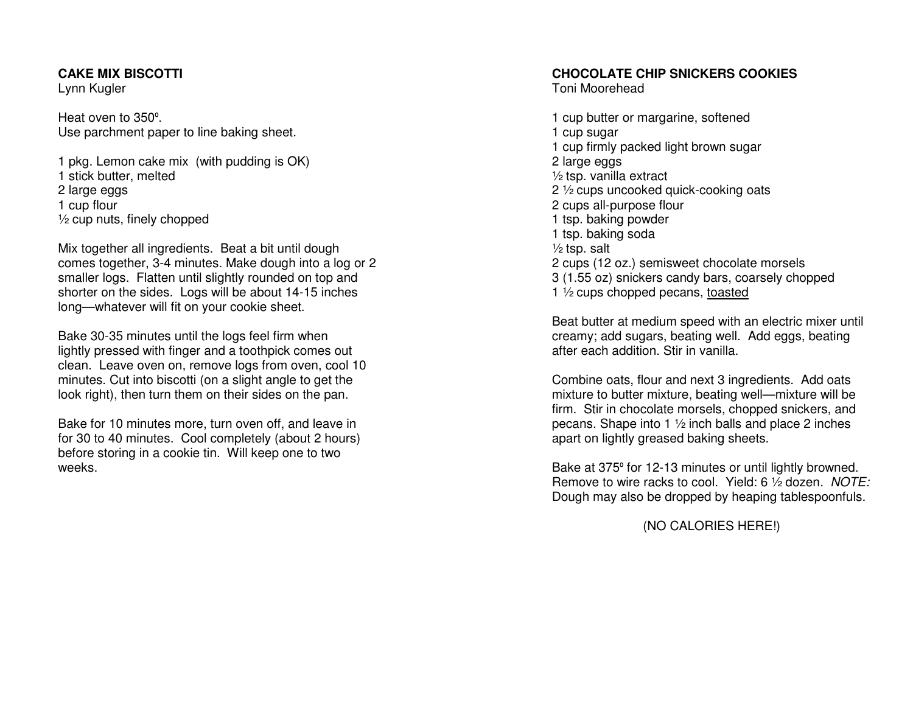#### **CAKE MIX BISCOTTI**

Lynn Kugler

Heat oven to 350<sup>º</sup>. Use parchment paper to line baking sheet.

1 pkg. Lemon cake mix (with pudding is OK) 1 stick butter, melted 2 large eggs 1 cup flour ½ cup nuts, finely chopped

Mix together all ingredients. Beat a bit until dough comes together, 3-4 minutes. Make dough into a log or 2 smaller logs. Flatten until slightly rounded on top and shorter on the sides. Logs will be about 14-15 inches long—whatever will fit on your cookie sheet.

Bake 30-35 minutes until the logs feel firm when lightly pressed with finger and a toothpick comes out clean. Leave oven on, remove logs from oven, cool 10 minutes. Cut into biscotti (on a slight angle to get the look right), then turn them on their sides on the pan.

Bake for 10 minutes more, turn oven off, and leave in for 30 to 40 minutes. Cool completely (about 2 hours) before storing in a cookie tin. Will keep one to two weeks.

# **CHOCOLATE CHIP SNICKERS COOKIES**

Toni Moorehead

1 cup butter or margarine, softened 1 cup sugar 1 cup firmly packed light brown sugar 2 large eggs ½ tsp. vanilla extract 2 ½ cups uncooked quick-cooking oats 2 cups all-purpose flour 1 tsp. baking powder 1 tsp. baking soda  $\frac{1}{2}$  tsp. salt 2 cups (12 oz.) semisweet chocolate morsels 3 (1.55 oz) snickers candy bars, coarsely chopped 1 ½ cups chopped pecans, toasted

Beat butter at medium speed with an electric mixer until creamy; add sugars, beating well. Add eggs, beating after each addition. Stir in vanilla.

Combine oats, flour and next 3 ingredients. Add oats mixture to butter mixture, beating well—mixture will be firm. Stir in chocolate morsels, chopped snickers, and pecans. Shape into 1 ½ inch balls and place 2 inches apart on lightly greased baking sheets.

Bake at 375º for 12-13 minutes or until lightly browned. Remove to wire racks to cool. Yield: 6 1/2 dozen. NOTE: Dough may also be dropped by heaping tablespoonfuls.

(NO CALORIES HERE!)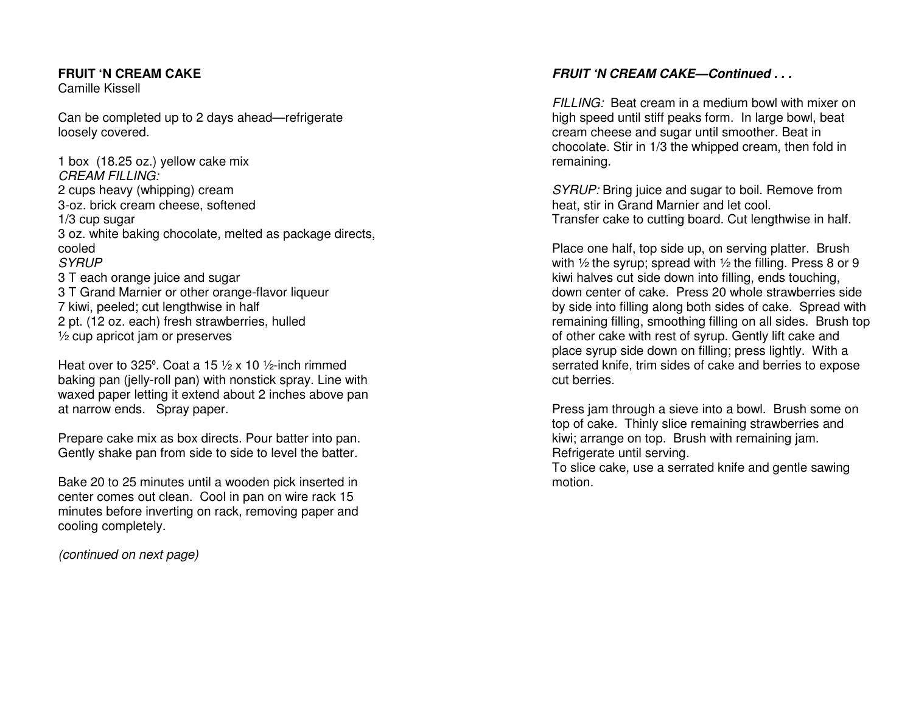# **FRUIT 'N CREAM CAKE**

Camille Kissell

Can be completed up to 2 days ahead—refrigerate loosely covered.

1 box (18.25 oz.) yellow cake mix CREAM FILLING: 2 cups heavy (whipping) cream 3-oz. brick cream cheese, softened 1/3 cup sugar 3 oz. white baking chocolate, melted as package directs, cooled SYRUP 3 T each orange juice and sugar 3 T Grand Marnier or other orange-flavor liqueur 7 kiwi, peeled; cut lengthwise in half 2 pt. (12 oz. each) fresh strawberries, hulled ½ cup apricot jam or preserves

Heat over to 325°. Coat a 15  $\frac{1}{2}$  x 10  $\frac{1}{2}$ -inch rimmed baking pan (jelly-roll pan) with nonstick spray. Line with waxed paper letting it extend about 2 inches above pan at narrow ends. Spray paper.

Prepare cake mix as box directs. Pour batter into pan. Gently shake pan from side to side to level the batter.

Bake 20 to 25 minutes until a wooden pick inserted in center comes out clean. Cool in pan on wire rack 15 minutes before inverting on rack, removing paper and cooling completely.

(continued on next page)

# **FRUIT 'N CREAM CAKE—Continued . . .**

FILLING: Beat cream in a medium bowl with mixer on high speed until stiff peaks form. In large bowl, beat cream cheese and sugar until smoother. Beat in chocolate. Stir in 1/3 the whipped cream, then fold in remaining.

SYRUP: Bring juice and sugar to boil. Remove from heat, stir in Grand Marnier and let cool. Transfer cake to cutting board. Cut lengthwise in half.

Place one half, top side up, on serving platter. Brush with 1/2 the syrup; spread with 1/2 the filling. Press 8 or 9 kiwi halves cut side down into filling, ends touching, down center of cake. Press 20 whole strawberries side by side into filling along both sides of cake. Spread with remaining filling, smoothing filling on all sides. Brush top of other cake with rest of syrup. Gently lift cake and place syrup side down on filling; press lightly. With a serrated knife, trim sides of cake and berries to expose cut berries.

Press jam through a sieve into a bowl. Brush some on top of cake. Thinly slice remaining strawberries and kiwi; arrange on top. Brush with remaining jam. Refrigerate until serving.

 To slice cake, use a serrated knife and gentle sawing motion.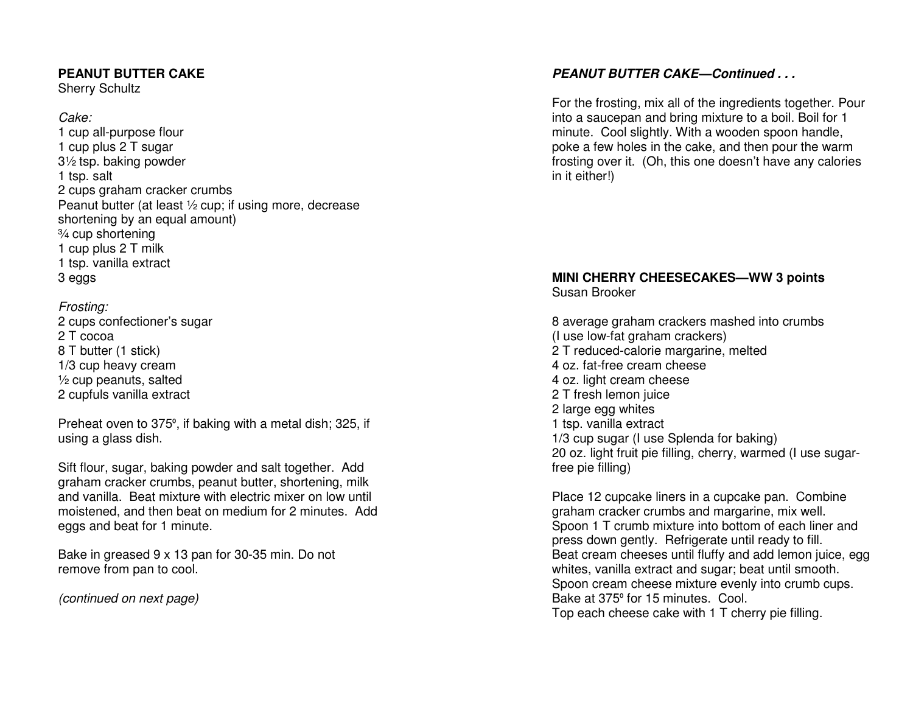# **PEANUT BUTTER CAKE**

Sherry Schultz

## Cake:

 1 cup all-purpose flour 1 cup plus 2 T sugar 3½ tsp. baking powder 1 tsp. salt 2 cups graham cracker crumbs Peanut butter (at least ½ cup; if using more, decrease shortening by an equal amount) ¾ cup shortening 1 cup plus 2 T milk 1 tsp. vanilla extract 3 eggs

# Frosting:

 2 cups confectioner's sugar 2 T cocoa 8 T butter (1 stick) 1/3 cup heavy cream  $\frac{1}{2}$  cup peanuts, salted 2 cupfuls vanilla extract

Preheat oven to 375<sup>º</sup>, if baking with a metal dish; 325, if using a glass dish.

Sift flour, sugar, baking powder and salt together. Add graham cracker crumbs, peanut butter, shortening, milk and vanilla. Beat mixture with electric mixer on low until moistened, and then beat on medium for 2 minutes. Add eggs and beat for 1 minute.

Bake in greased 9 x 13 pan for 30-35 min. Do not remove from pan to cool.

(continued on next page)

# **PEANUT BUTTER CAKE—Continued . . .**

For the frosting, mix all of the ingredients together. Pour into a saucepan and bring mixture to a boil. Boil for 1 minute. Cool slightly. With a wooden spoon handle, poke a few holes in the cake, and then pour the warm frosting over it. (Oh, this one doesn't have any calories in it either!)

# **MINI CHERRY CHEESECAKES—WW 3 points** Susan Brooker

8 average graham crackers mashed into crumbs (I use low-fat graham crackers) 2 T reduced-calorie margarine, melted 4 oz. fat-free cream cheese 4 oz. light cream cheese 2 T fresh lemon juice 2 large egg whites 1 tsp. vanilla extract 1/3 cup sugar (I use Splenda for baking) 20 oz. light fruit pie filling, cherry, warmed (I use sugarfree pie filling)

Place 12 cupcake liners in a cupcake pan. Combine graham cracker crumbs and margarine, mix well. Spoon 1 T crumb mixture into bottom of each liner and press down gently. Refrigerate until ready to fill. Beat cream cheeses until fluffy and add lemon juice, egg whites, vanilla extract and sugar; beat until smooth. Spoon cream cheese mixture evenly into crumb cups. Bake at 375º for 15 minutes. Cool. Top each cheese cake with 1 T cherry pie filling.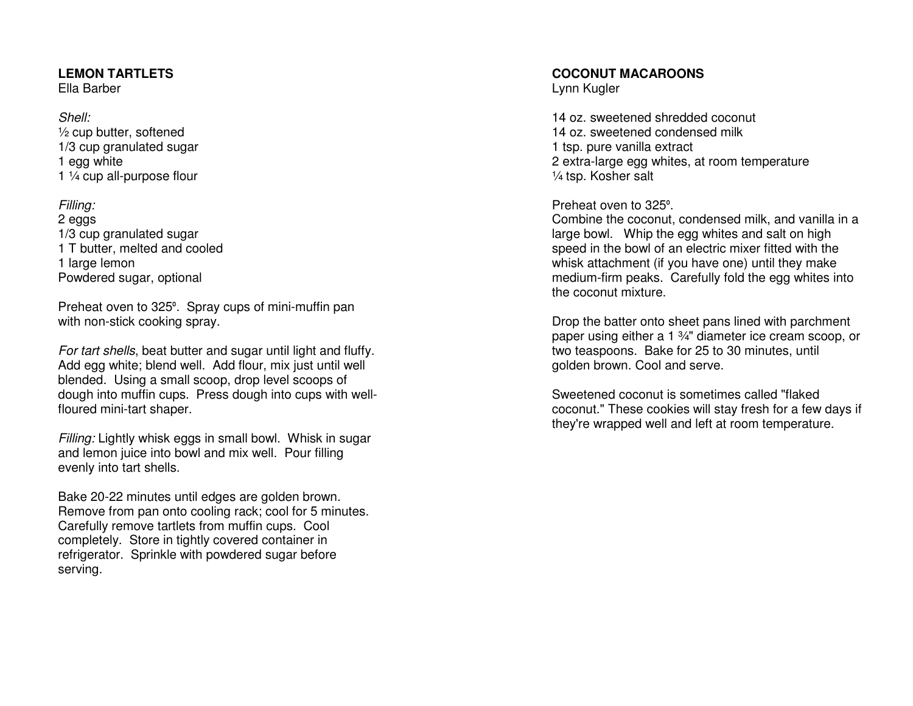# **LEMON TARTLETS**

Ella Barber

#### Shell: ½ cup butter, softened 1/3 cup granulated sugar 1 egg white 1 ¼ cup all-purpose flour

Filling: 2 eggs 1/3 cup granulated sugar 1 T butter, melted and cooled 1 large lemon Powdered sugar, optional

Preheat oven to 325º. Spray cups of mini-muffin pan with non-stick cooking spray.

For tart shells, beat butter and sugar until light and fluffy. Add egg white; blend well. Add flour, mix just until well blended. Using a small scoop, drop level scoops of dough into muffin cups. Press dough into cups with wellfloured mini-tart shaper.

Filling: Lightly whisk eggs in small bowl. Whisk in sugar and lemon juice into bowl and mix well. Pour filling evenly into tart shells.

Bake 20-22 minutes until edges are golden brown. Remove from pan onto cooling rack; cool for 5 minutes. Carefully remove tartlets from muffin cups. Cool completely. Store in tightly covered container in refrigerator. Sprinkle with powdered sugar before serving.

## **COCONUT MACAROONS**

Lynn Kugler

14 oz. sweetened shredded coconut 14 oz. sweetened condensed milk 1 tsp. pure vanilla extract 2 extra-large egg whites, at room temperature ¼ tsp. Kosher salt

# Preheat oven to 325<sup>º</sup>.

 Combine the coconut, condensed milk, and vanilla in a large bowl. Whip the egg whites and salt on high speed in the bowl of an electric mixer fitted with the whisk attachment (if you have one) until they make medium-firm peaks. Carefully fold the egg whites into the coconut mixture.

Drop the batter onto sheet pans lined with parchment paper using either a 1 3/4" diameter ice cream scoop, or two teaspoons. Bake for 25 to 30 minutes, until golden brown. Cool and serve.

Sweetened coconut is sometimes called "flaked coconut." These cookies will stay fresh for a few days if they're wrapped well and left at room temperature.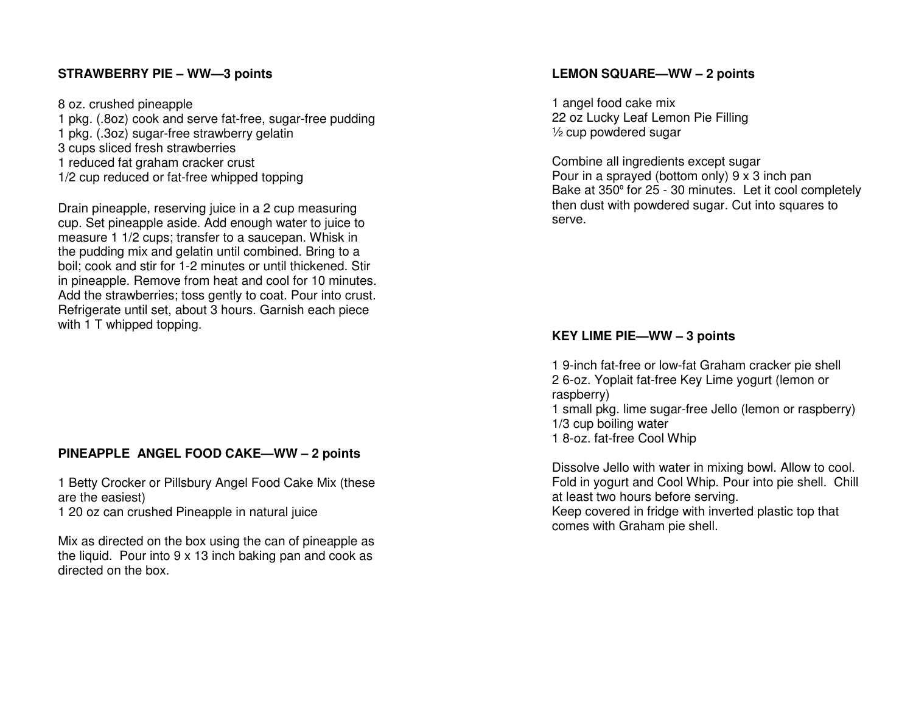# **STRAWBERRY PIE – WW—3 points**

8 oz. crushed pineapple

 1 pkg. (.8oz) cook and serve fat-free, sugar-free pudding 1 pkg. (.3oz) sugar-free strawberry gelatin 3 cups sliced fresh strawberries 1 reduced fat graham cracker crust 1/2 cup reduced or fat-free whipped topping

Drain pineapple, reserving juice in a 2 cup measuring cup. Set pineapple aside. Add enough water to juice to measure 1 1/2 cups; transfer to a saucepan. Whisk in the pudding mix and gelatin until combined. Bring to a boil; cook and stir for 1-2 minutes or until thickened. Stir in pineapple. Remove from heat and cool for 10 minutes. Add the strawberries; toss gently to coat. Pour into crust. Refrigerate until set, about 3 hours. Garnish each piece with 1 T whipped topping.

# **PINEAPPLE ANGEL FOOD CAKE—WW – 2 points**

1 Betty Crocker or Pillsbury Angel Food Cake Mix (these are the easiest) 1 20 oz can crushed Pineapple in natural juice

Mix as directed on the box using the can of pineapple as the liquid. Pour into 9 x 13 inch baking pan and cook as directed on the box.

## **LEMON SQUARE—WW – 2 points**

1 angel food cake mix 22 oz Lucky Leaf Lemon Pie Filling ½ cup powdered sugar

Combine all ingredients except sugar Pour in a sprayed (bottom only) 9 x 3 inch pan Bake at 350º for 25 - 30 minutes. Let it cool completely then dust with powdered sugar. Cut into squares to serve.

## **KEY LIME PIE—WW – 3 points**

1 9-inch fat-free or low-fat Graham cracker pie shell 2 6-oz. Yoplait fat-free Key Lime yogurt (lemon or raspberry) 1 small pkg. lime sugar-free Jello (lemon or raspberry) 1/3 cup boiling water

1 8-oz. fat-free Cool Whip

Dissolve Jello with water in mixing bowl. Allow to cool. Fold in yogurt and Cool Whip. Pour into pie shell. Chill at least two hours before serving. Keep covered in fridge with inverted plastic top that comes with Graham pie shell.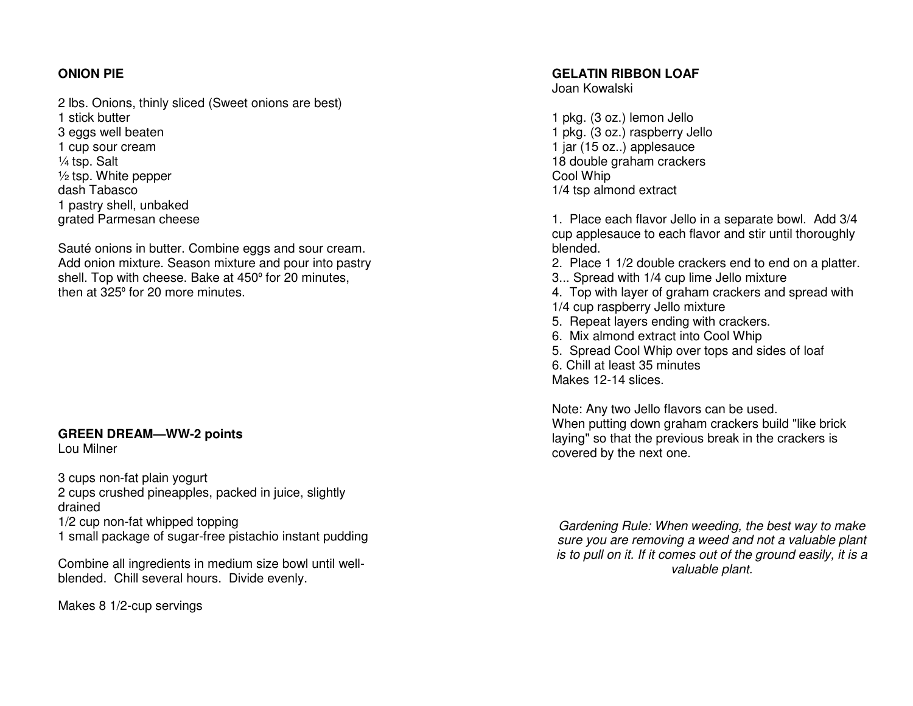# **ONION PIE**

2 lbs. Onions, thinly sliced (Sweet onions are best) 1 stick butter 3 eggs well beaten 1 cup sour cream ¼ tsp. Salt ½ tsp. White pepper dash Tabasco 1 pastry shell, unbaked grated Parmesan cheese

Sauté onions in butter. Combine eggs and sour cream. Add onion mixture. Season mixture and pour into pastry shell. Top with cheese. Bake at 450º for 20 minutes, then at 325º for 20 more minutes.

#### **GREEN DREAM—WW-2 points** Lou Milner

3 cups non-fat plain yogurt 2 cups crushed pineapples, packed in juice, slightly drained 1/2 cup non-fat whipped topping

1 small package of sugar-free pistachio instant pudding

Combine all ingredients in medium size bowl until wellblended. Chill several hours. Divide evenly.

Makes 8 1/2-cup servings

## **GELATIN RIBBON LOAF**

Joan Kowalski

1 pkg. (3 oz.) lemon Jello 1 pkg. (3 oz.) raspberry Jello 1 jar (15 oz..) applesauce 18 double graham crackers Cool Whip 1/4 tsp almond extract

1. Place each flavor Jello in a separate bowl. Add 3/4 cup applesauce to each flavor and stir until thoroughly blended.

- 2. Place 1 1/2 double crackers end to end on a platter.
- 3... Spread with 1/4 cup lime Jello mixture
- 4. Top with layer of graham crackers and spread with 1/4 cup raspberry Jello mixture
- 
- 5. Repeat layers ending with crackers. 6. Mix almond extract into Cool Whip
- 5. Spread Cool Whip over tops and sides of loaf
- 6. Chill at least 35 minutes

Makes 12-14 slices.

Note: Any two Jello flavors can be used. When putting down graham crackers build "like brick laying" so that the previous break in the crackers is covered by the next one.

Gardening Rule: When weeding, the best way to make sure you are removing a weed and not a valuable plant is to pull on it. If it comes out of the ground easily, it is a valuable plant.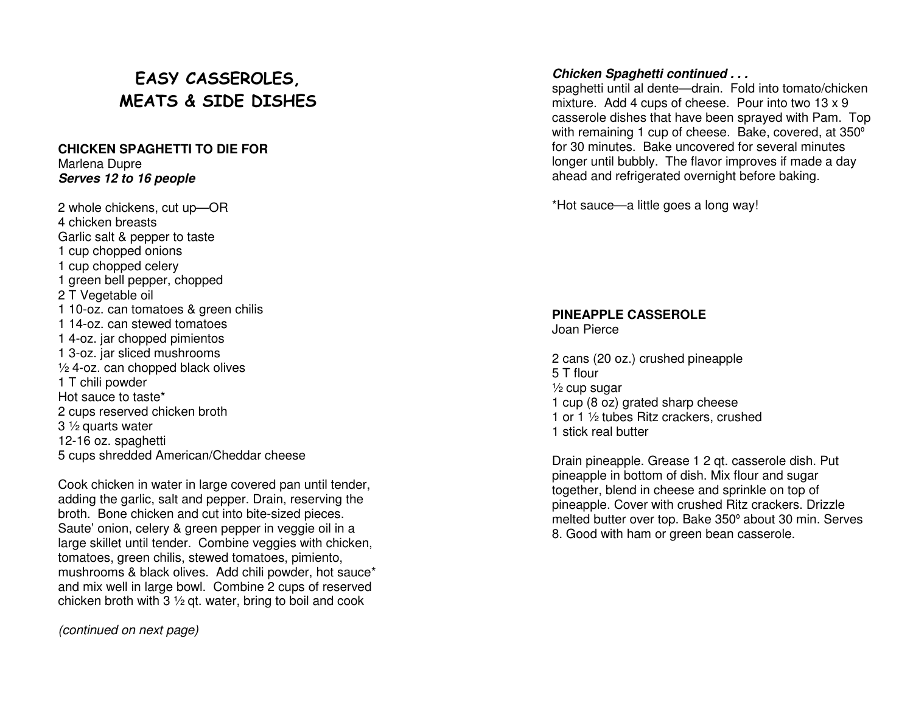# EASY CASSEROLES, MEATS & SIDE DISHES

#### **CHICKEN SPAGHETTI TO DIE FOR** Marlena Dupre **Serves 12 to 16 people**

2 whole chickens, cut up—OR 4 chicken breasts Garlic salt & pepper to taste 1 cup chopped onions 1 cup chopped celery 1 green bell pepper, chopped 2 T Vegetable oil 1 10-oz. can tomatoes & green chilis 1 14-oz. can stewed tomatoes 1 4-oz. jar chopped pimientos 1 3-oz. jar sliced mushrooms ½ 4-oz. can chopped black olives 1 T chili powder Hot sauce to taste\* 2 cups reserved chicken broth 3 ½ quarts water 12-16 oz. spaghetti 5 cups shredded American/Cheddar cheese

Cook chicken in water in large covered pan until tender, adding the garlic, salt and pepper. Drain, reserving the broth. Bone chicken and cut into bite-sized pieces. Saute' onion, celery & green pepper in veggie oil in a large skillet until tender. Combine veggies with chicken, tomatoes, green chilis, stewed tomatoes, pimiento, mushrooms & black olives. Add chili powder, hot sauce\* and mix well in large bowl. Combine 2 cups of reserved chicken broth with 3 ½ qt. water, bring to boil and cook

(continued on next page)

#### **Chicken Spaghetti continued . . .**

 spaghetti until al dente—drain. Fold into tomato/chicken mixture. Add 4 cups of cheese. Pour into two 13 x 9 casserole dishes that have been sprayed with Pam. Top with remaining 1 cup of cheese. Bake, covered, at 350ºfor 30 minutes. Bake uncovered for several minutes longer until bubbly. The flavor improves if made a day ahead and refrigerated overnight before baking.

\*Hot sauce—a little goes a long way!

#### **PINEAPPLE CASSEROLE**

Joan Pierce

2 cans (20 oz.) crushed pineapple 5 T flour  $\frac{1}{2}$  cup sugar 1 cup (8 oz) grated sharp cheese 1 or 1 ½ tubes Ritz crackers, crushed 1 stick real butter

Drain pineapple. Grease 1 2 qt. casserole dish. Putpineapple in bottom of dish. Mix flour and sugar together, blend in cheese and sprinkle on top of pineapple. Cover with crushed Ritz crackers. Drizzle melted butter over top. Bake 350º about 30 min. Serves 8. Good with ham or green bean casserole.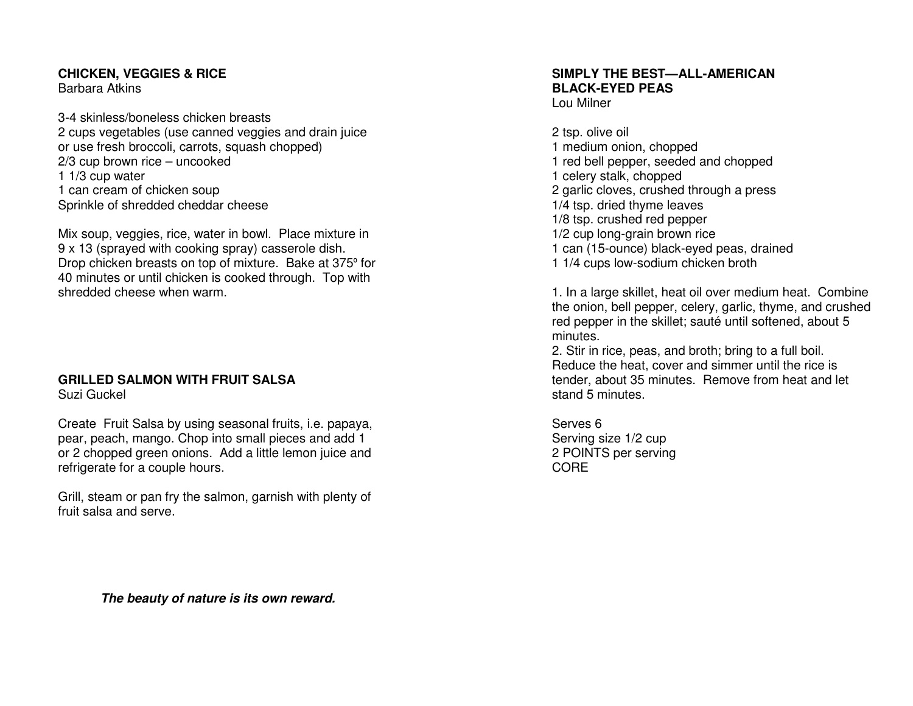# **CHICKEN, VEGGIES & RICE**

Barbara Atkins

3-4 skinless/boneless chicken breasts 2 cups vegetables (use canned veggies and drain juice or use fresh broccoli, carrots, squash chopped) 2/3 cup brown rice – uncooked 1 1/3 cup water 1 can cream of chicken soup Sprinkle of shredded cheddar cheese

Mix soup, veggies, rice, water in bowl. Place mixture in 9 x 13 (sprayed with cooking spray) casserole dish. Drop chicken breasts on top of mixture. Bake at 375º for 40 minutes or until chicken is cooked through. Top with shredded cheese when warm.

#### **GRILLED SALMON WITH FRUIT SALSA** Suzi Guckel

Create Fruit Salsa by using seasonal fruits, i.e. papaya, pear, peach, mango. Chop into small pieces and add 1 or 2 chopped green onions. Add a little lemon juice and refrigerate for a couple hours.

Grill, steam or pan fry the salmon, garnish with plenty of fruit salsa and serve

# **SIMPLY THE BEST—ALL-AMERICAN BLACK-EYED PEAS**

Lou Milner

2 tsp. olive oil 1 medium onion, chopped 1 red bell pepper, seeded and chopped 1 celery stalk, chopped 2 garlic cloves, crushed through a press 1/4 tsp. dried thyme leaves 1/8 tsp. crushed red pepper 1/2 cup long-grain brown rice 1 can (15-ounce) black-eyed peas, drained 1 1/4 cups low-sodium chicken broth

1. In a large skillet, heat oil over medium heat. Combine the onion, bell pepper, celery, garlic, thyme, and crushed red pepper in the skillet; sauté until softened, about 5 minutes.

 2. Stir in rice, peas, and broth; bring to a full boil. Reduce the heat, cover and simmer until the rice is tender, about 35 minutes. Remove from heat and letstand 5 minutes.

Serves 6 Serving size 1/2 cup 2 POINTS per serving CORE

**The beauty of nature is its own reward.**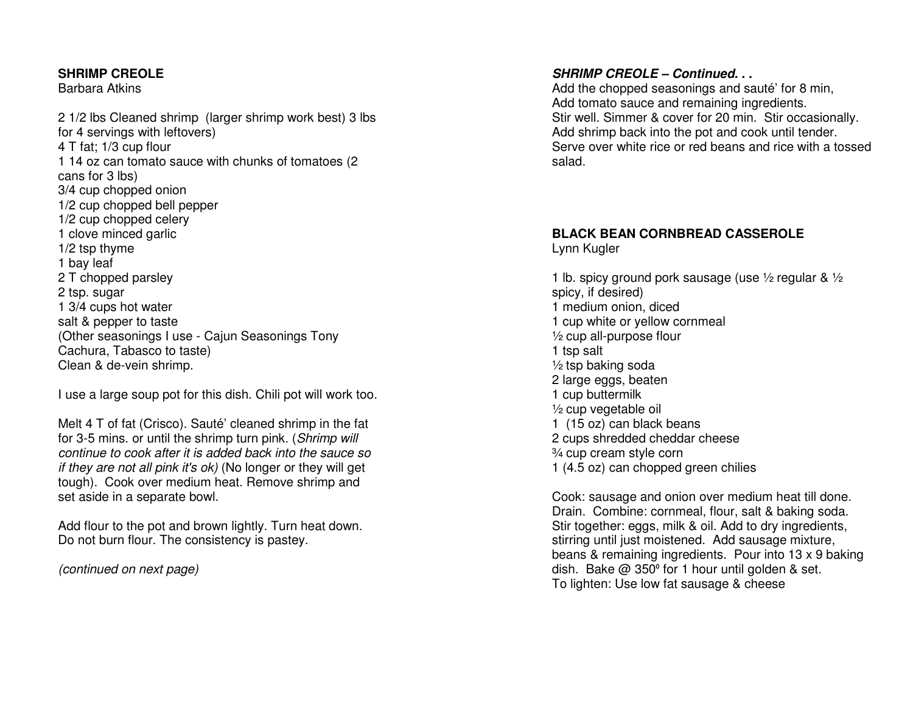#### **SHRIMP CREOLE**

Barbara Atkins

2 1/2 lbs Cleaned shrimp (larger shrimp work best) 3 lbs for 4 servings with leftovers) 4 T fat; 1/3 cup flour 1 14 oz can tomato sauce with chunks of tomatoes (2cans for 3 lbs) 3/4 cup chopped onion 1/2 cup chopped bell pepper 1/2 cup chopped celery 1 clove minced garlic 1/2 tsp thyme 1 bay leaf 2 T chopped parsley 2 tsp. sugar 1 3/4 cups hot water salt & pepper to taste (Other seasonings I use - Cajun Seasonings Tony Cachura, Tabasco to taste) Clean & de-vein shrimp.

I use a large soup pot for this dish. Chili pot will work too.

Melt 4 T of fat (Crisco). Sauté' cleaned shrimp in the fat for 3-5 mins, or until the shrimp turn pink. (Shrimp will continue to cook after it is added back into the sauce so if they are not all pink it's ok) (No longer or they will get tough). Cook over medium heat. Remove shrimp and set aside in a separate bowl.

Add flour to the pot and brown lightly. Turn heat down. Do not burn flour. The consistency is pastey.

(continued on next page)

# **SHRIMP CREOLE – Continued. . .**

 Add the chopped seasonings and sauté' for 8 min, Add tomato sauce and remaining ingredients. Stir well. Simmer & cover for 20 min. Stir occasionally. Add shrimp back into the pot and cook until tender. Serve over white rice or red beans and rice with a tossed salad.

# **BLACK BEAN CORNBREAD CASSEROLE**

Lynn Kugler

1 lb. spicy ground pork sausage (use ½ regular & ½ spicy, if desired) 1 medium onion, diced 1 cup white or yellow cornmeal ½ cup all-purpose flour 1 tsp salt ½ tsp baking soda 2 large eggs, beaten 1 cup buttermilk ½ cup vegetable oil 1 (15 oz) can black beans 2 cups shredded cheddar cheese ¾ cup cream style corn 1 (4.5 oz) can chopped green chilies

Cook: sausage and onion over medium heat till done. Drain. Combine: cornmeal, flour, salt & baking soda. Stir together: eggs, milk & oil. Add to dry ingredients, stirring until just moistened. Add sausage mixture, beans & remaining ingredients. Pour into 13 x 9 baking dish. Bake @ 350º for 1 hour until golden & set. To lighten: Use low fat sausage & cheese